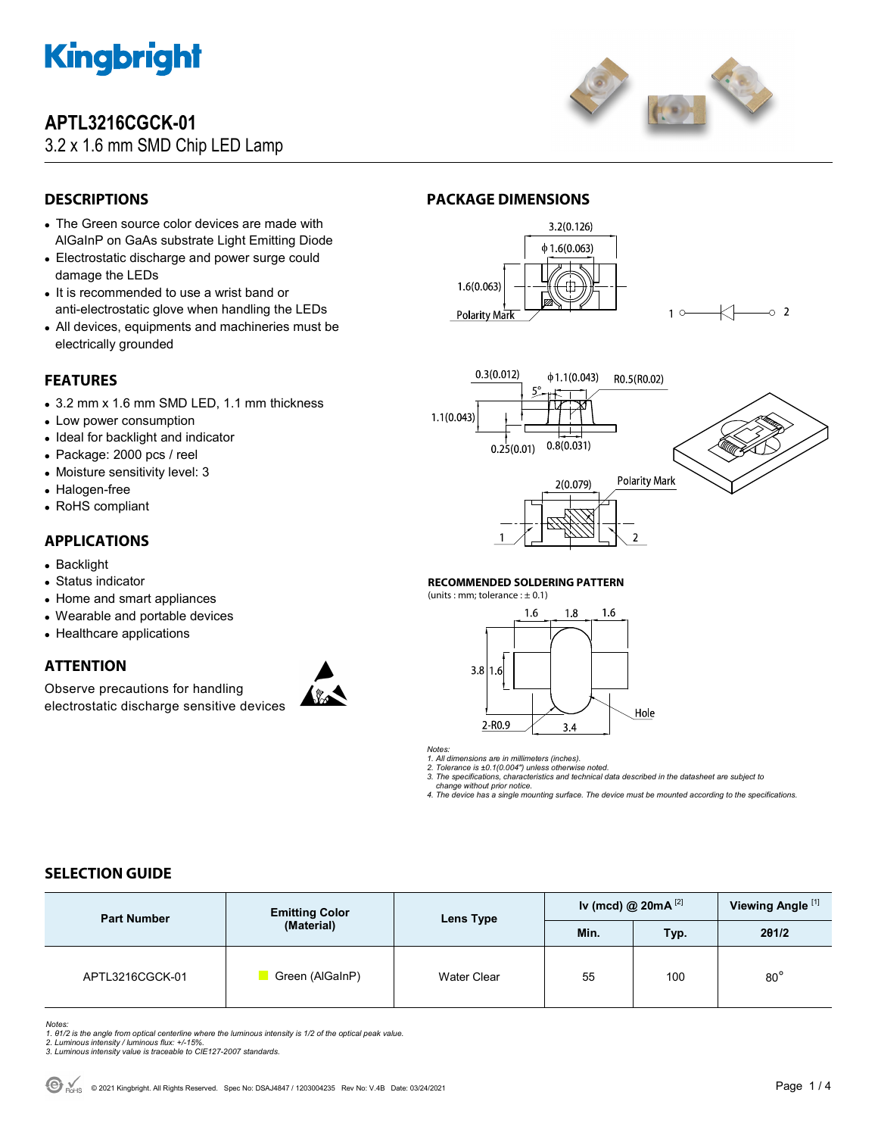

# **APTL3216CGCK-01**

## 3.2 x 1.6 mm SMD Chip LED Lamp



## **DESCRIPTIONS**

- The Green source color devices are made with AlGaInP on GaAs substrate Light Emitting Diode
- Electrostatic discharge and power surge could damage the LEDs
- It is recommended to use a wrist band or anti-electrostatic glove when handling the LEDs
- All devices, equipments and machineries must be electrically grounded

## **FEATURES**

- 3.2 mm x 1.6 mm SMD LED, 1.1 mm thickness
- Low power consumption
- Ideal for backlight and indicator
- Package: 2000 pcs / reel
- Moisture sensitivity level: 3
- Halogen-free
- RoHS compliant

### **APPLICATIONS**

- Backlight
- Status indicator
- Home and smart appliances
- Wearable and portable devices
- Healthcare applications

### **ATTENTION**

Observe precautions for handling electrostatic discharge sensitive devices









#### **RECOMMENDED SOLDERING PATTERN**

(units : mm; tolerance :  $\pm$  0.1)



*Notes:* 

*1. All dimensions are in millimeters (inches).* 

*2. Tolerance is ±0.1(0.004") unless otherwise noted. 3. The specifications, characteristics and technical data described in the datasheet are subject to* 

 *change without prior notice.* 

*4. The device has a single mounting surface. The device must be mounted according to the specifications.* 

## **SELECTION GUIDE**

| <b>Part Number</b> | <b>Emitting Color</b> |                    | Iv (mcd) @ $20mA$ <sup>[2]</sup> |      | Viewing Angle <sup>[1]</sup> |
|--------------------|-----------------------|--------------------|----------------------------------|------|------------------------------|
|                    | (Material)            | Lens Type<br>Min.  |                                  | Typ. | 201/2                        |
| APTL3216CGCK-01    | Green (AlGaInP)       | <b>Water Clear</b> | 55                               | 100  | $80^\circ$                   |

Notes:<br>1. 81/2 is the angle from optical centerline where the luminous intensity is 1/2 of the optical peak value.<br>2. Luminous intensity / luminous flux: +/-15%.<br>3. Luminous intensity value is traceable to CIE127-2007 stan

- 
-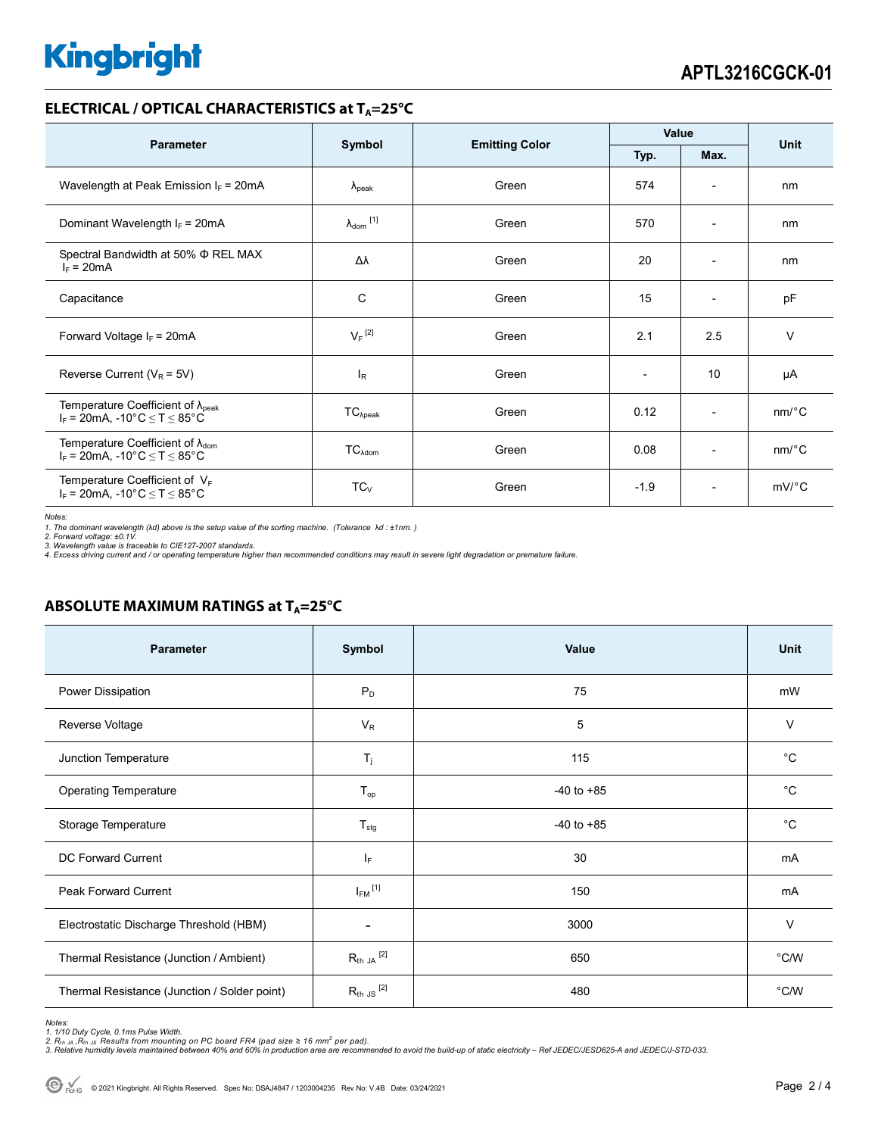# **Kingbright**

#### **ELECTRICAL / OPTICAL CHARACTERISTICS at T<sub>A</sub>=25°C**

| <b>Parameter</b>                                                                            | Symbol                       |                       | Value                    |                              | <b>Unit</b>           |
|---------------------------------------------------------------------------------------------|------------------------------|-----------------------|--------------------------|------------------------------|-----------------------|
|                                                                                             |                              | <b>Emitting Color</b> | Typ.<br>Max.             |                              |                       |
| Wavelength at Peak Emission $I_F = 20mA$                                                    | $\lambda_{\rm peak}$         | Green                 | 574                      | $\overline{\phantom{a}}$     | nm                    |
| Dominant Wavelength $I_F = 20 \text{mA}$                                                    | $\lambda_{\mathsf{dom}}$ [1] | Green                 | 570                      | $\overline{\phantom{0}}$     | nm                    |
| Spectral Bandwidth at 50% $\Phi$ REL MAX<br>$I_F = 20mA$                                    | Δλ                           | Green                 | 20                       | $\overline{\phantom{a}}$     | nm                    |
| Capacitance                                                                                 | С                            | Green                 | 15                       | $\overline{\phantom{a}}$     | pF                    |
| Forward Voltage $I_F = 20mA$                                                                | $V_F$ <sup>[2]</sup>         | Green                 | 2.1                      | 2.5                          | $\vee$                |
| Reverse Current ( $V_R$ = 5V)                                                               | $I_R$                        | Green                 | $\overline{\phantom{0}}$ | 10                           | μA                    |
| Temperature Coefficient of $\lambda_{peak}$<br>$I_F$ = 20mA, -10°C $\leq T \leq 85$ °C      | $TC_{\lambda peak}$          | Green                 | 0.12                     | $\overline{\phantom{a}}$     | $nm$ /°C              |
| Temperature Coefficient of $\lambda_{\text{dom}}$<br>$I_F = 20$ mA, -10°C $\le T \le 85$ °C | $TC_{\text{Adom}}$           | Green                 | 0.08                     | $\qquad \qquad \blacksquare$ | $nm$ <sup>o</sup> $C$ |
| Temperature Coefficient of $V_F$<br>$I_F$ = 20mA, -10°C $\leq T \leq 85$ °C                 | $TC_{V}$                     | Green                 | $-1.9$                   | $\overline{\phantom{a}}$     | $mV$ °C               |

*Notes:* 

1. The dominant wavelength (λd) above is the setup value of the sorting machine. (Tolerance λd : ±1nm. )<br>2. Forward voltage: ±0.1V.<br>3. Wavelength value is traceable to CIE127-2007 standards.<br>4. Excess driving current and

#### **ABSOLUTE MAXIMUM RATINGS at T<sub>A</sub>=25°C**

| Parameter                                    | Symbol                  | Value          | <b>Unit</b> |
|----------------------------------------------|-------------------------|----------------|-------------|
| Power Dissipation                            | $P_D$                   | 75             | mW          |
| Reverse Voltage                              | $V_{R}$                 | 5              | $\vee$      |
| Junction Temperature                         | $\mathsf{T}_j$          | 115            | $^{\circ}C$ |
| <b>Operating Temperature</b>                 | $T_{op}$                | $-40$ to $+85$ | $^{\circ}C$ |
| Storage Temperature                          | $T_{\text{stg}}$        | $-40$ to $+85$ | $^{\circ}C$ |
| <b>DC Forward Current</b>                    | IF.                     | 30             | mA          |
| <b>Peak Forward Current</b>                  | $I_{FM}$ <sup>[1]</sup> | 150            | mA          |
| Electrostatic Discharge Threshold (HBM)      |                         | 3000           | $\vee$      |
| Thermal Resistance (Junction / Ambient)      | $R_{th}$ ja $^{[2]}$    | 650            | °C/W        |
| Thermal Resistance (Junction / Solder point) | $R_{th}$ JS $^{[2]}$    | 480            | °C/W        |

Notes:<br>1. 1/10 Duty Cycle, 0.1ms Pulse Width.<br>2. R<sub>th JA</sub> ,R<sub>th JS</sub> Results from mounting on PC board FR4 (pad size ≥ 16 mm<sup>2</sup> per pad).<br>3. Relative humidity levels maintained between 40% and 60% in production area are re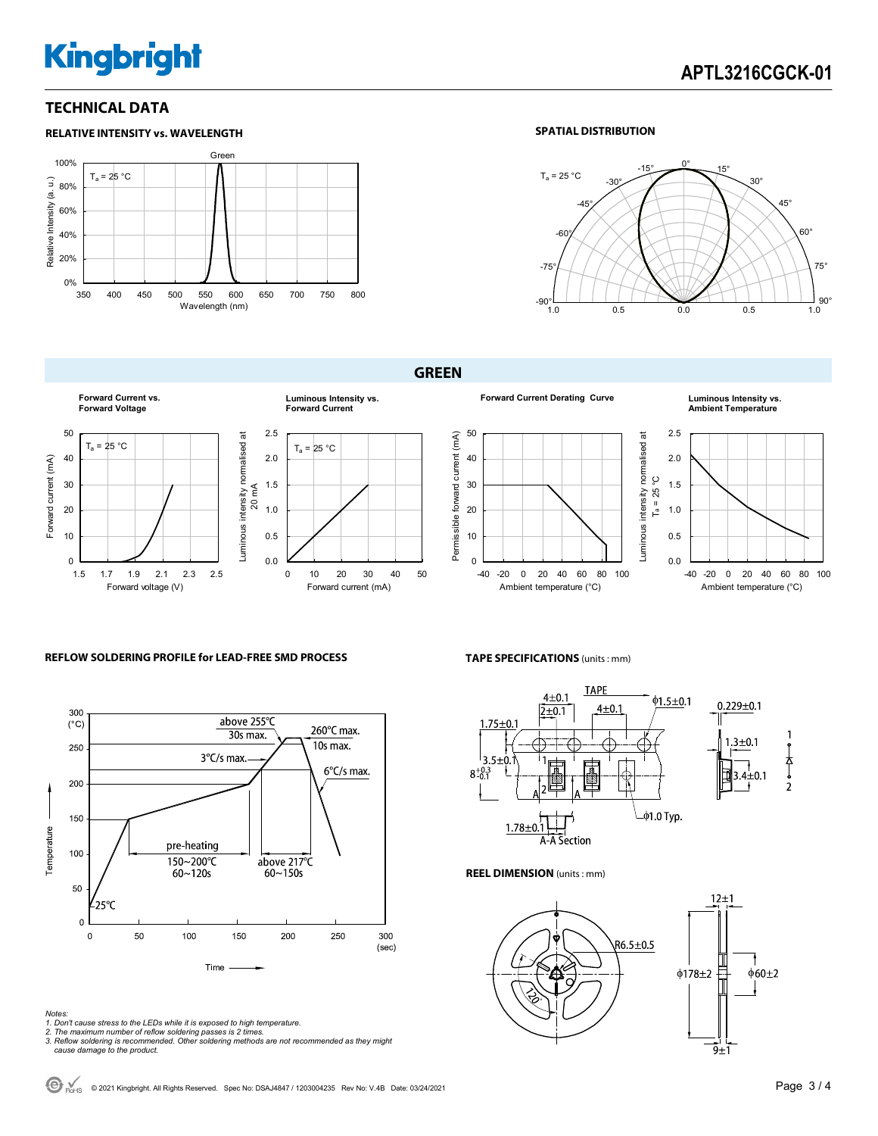# **Kingbright**

### **TECHNICAL DATA**



#### **SPATIAL DISTRIBUTION**



**GREEN** 



**Forward Current Derating Curve Luminous Intensity vs. Ambient Temperature**





0.0 -40 -20 0 20 40 60 80 100 Ambient temperature (°C)

#### **REFLOW SOLDERING PROFILE for LEAD-FREE SMD PROCESS**



## **TAPE SPECIFICATIONS** (units : mm) **TAPE**



**REEL DIMENSION** (units : mm)



*Notes:* 

- *1. Don't cause stress to the LEDs while it is exposed to high temperature.*
- *2. The maximum number of reflow soldering passes is 2 times. 3. Reflow soldering is recommended. Other soldering methods are not recommended as they might*
- *cause damage to the product.*

© 2021 Kingbright. All Rights Reserved. Spec No: DSAJ4847 / 1203004235 Rev No: V.4B Date: 03/24/2021Page 3 / 4